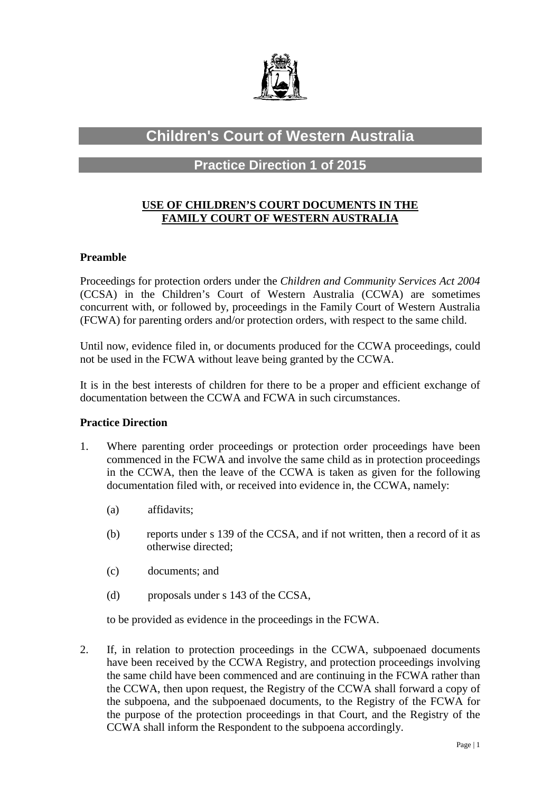

# **Children's Court of Western Australia**

## **Practice Direction 1 of 2015**

### **USE OF CHILDREN'S COURT DOCUMENTS IN THE FAMILY COURT OF WESTERN AUSTRALIA**

#### **Preamble**

Proceedings for protection orders under the *Children and Community Services Act 2004* (CCSA) in the Children's Court of Western Australia (CCWA) are sometimes concurrent with, or followed by, proceedings in the Family Court of Western Australia (FCWA) for parenting orders and/or protection orders, with respect to the same child.

Until now, evidence filed in, or documents produced for the CCWA proceedings, could not be used in the FCWA without leave being granted by the CCWA.

It is in the best interests of children for there to be a proper and efficient exchange of documentation between the CCWA and FCWA in such circumstances.

#### **Practice Direction**

- 1. Where parenting order proceedings or protection order proceedings have been commenced in the FCWA and involve the same child as in protection proceedings in the CCWA, then the leave of the CCWA is taken as given for the following documentation filed with, or received into evidence in, the CCWA, namely:
	- (a) affidavits;
	- (b) reports under s 139 of the CCSA, and if not written, then a record of it as otherwise directed;
	- (c) documents; and
	- (d) proposals under s 143 of the CCSA,

to be provided as evidence in the proceedings in the FCWA.

2. If, in relation to protection proceedings in the CCWA, subpoenaed documents have been received by the CCWA Registry, and protection proceedings involving the same child have been commenced and are continuing in the FCWA rather than the CCWA, then upon request, the Registry of the CCWA shall forward a copy of the subpoena, and the subpoenaed documents, to the Registry of the FCWA for the purpose of the protection proceedings in that Court, and the Registry of the CCWA shall inform the Respondent to the subpoena accordingly.